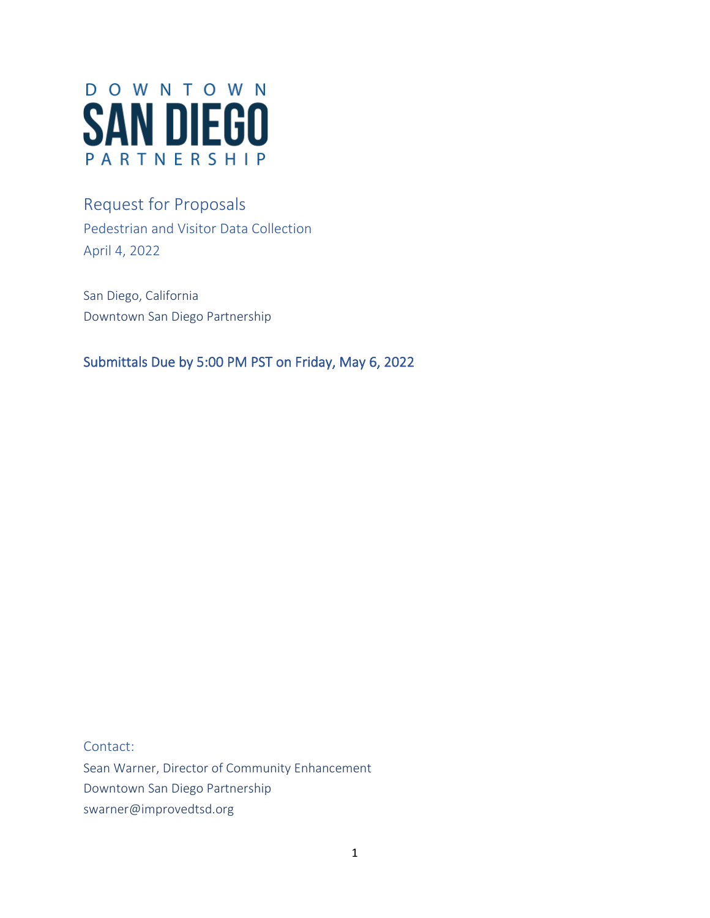

# Request for Proposals Pedestrian and Visitor Data Collection April 4, 2022

San Diego, California Downtown San Diego Partnership

Submittals Due by 5:00 PM PST on Friday, May 6, 2022

Contact:

Sean Warner, Director of Community Enhancement Downtown San Diego Partnership swarner@improvedtsd.org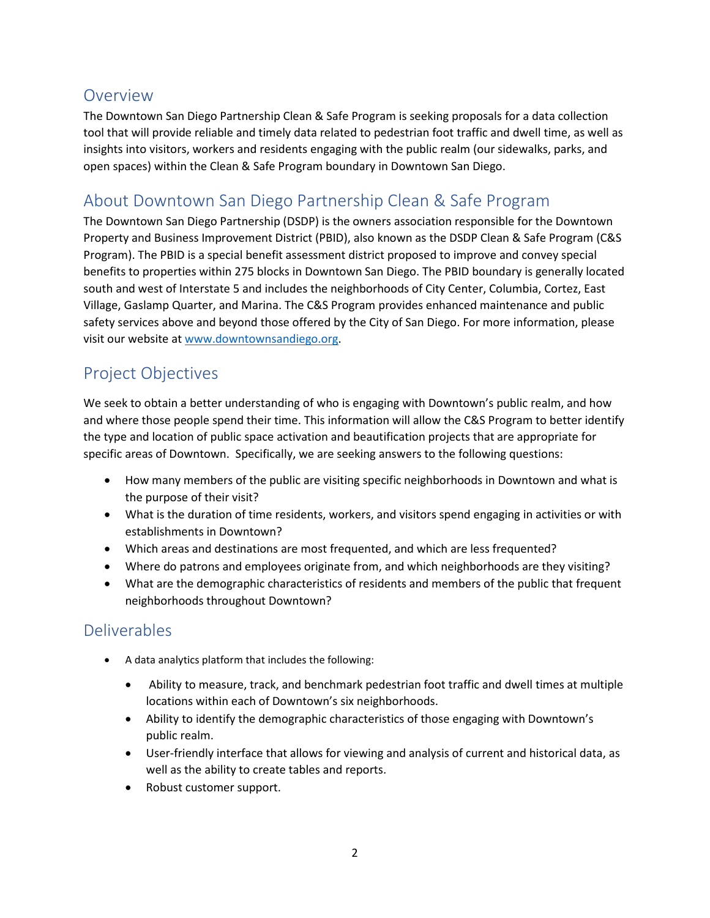### Overview

The Downtown San Diego Partnership Clean & Safe Program is seeking proposals for a data collection tool that will provide reliable and timely data related to pedestrian foot traffic and dwell time, as well as insights into visitors, workers and residents engaging with the public realm (our sidewalks, parks, and open spaces) within the Clean & Safe Program boundary in Downtown San Diego.

## About Downtown San Diego Partnership Clean & Safe Program

The Downtown San Diego Partnership (DSDP) is the owners association responsible for the Downtown Property and Business Improvement District (PBID), also known as the DSDP Clean & Safe Program (C&S Program). The PBID is a special benefit assessment district proposed to improve and convey special benefits to properties within 275 blocks in Downtown San Diego. The PBID boundary is generally located south and west of Interstate 5 and includes the neighborhoods of City Center, Columbia, Cortez, East Village, Gaslamp Quarter, and Marina. The C&S Program provides enhanced maintenance and public safety services above and beyond those offered by the City of San Diego. For more information, please visit our website a[t www.downtownsandiego.org.](http://www.downtownsandiego.org/)

## Project Objectives

We seek to obtain a better understanding of who is engaging with Downtown's public realm, and how and where those people spend their time. This information will allow the C&S Program to better identify the type and location of public space activation and beautification projects that are appropriate for specific areas of Downtown. Specifically, we are seeking answers to the following questions:

- How many members of the public are visiting specific neighborhoods in Downtown and what is the purpose of their visit?
- What is the duration of time residents, workers, and visitors spend engaging in activities or with establishments in Downtown?
- Which areas and destinations are most frequented, and which are less frequented?
- Where do patrons and employees originate from, and which neighborhoods are they visiting?
- What are the demographic characteristics of residents and members of the public that frequent neighborhoods throughout Downtown?

## Deliverables

- A data analytics platform that includes the following:
	- Ability to measure, track, and benchmark pedestrian foot traffic and dwell times at multiple locations within each of Downtown's six neighborhoods.
	- Ability to identify the demographic characteristics of those engaging with Downtown's public realm.
	- User-friendly interface that allows for viewing and analysis of current and historical data, as well as the ability to create tables and reports.
	- Robust customer support.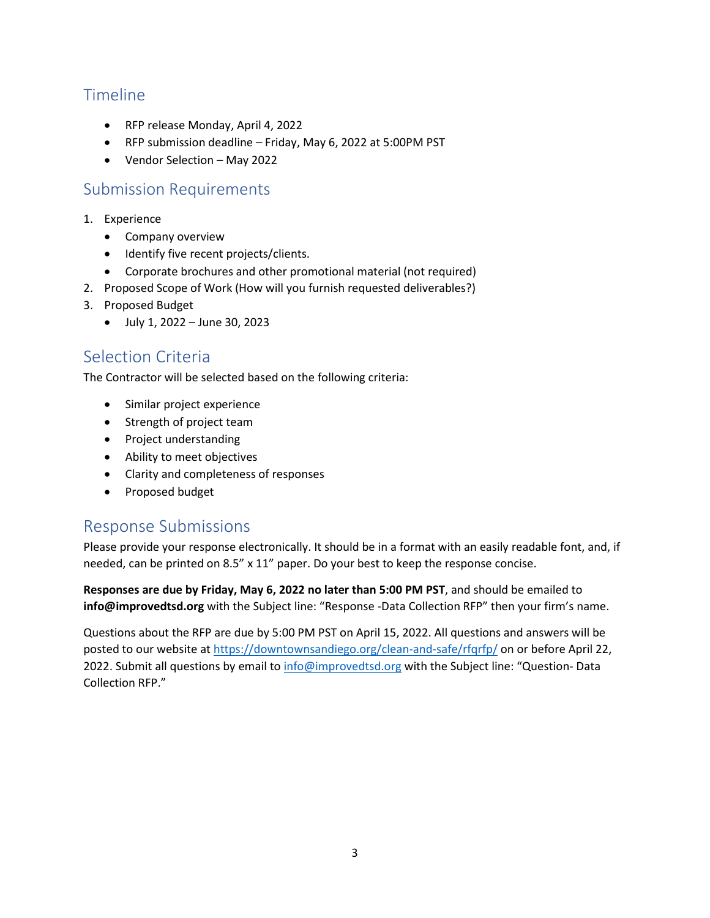## Timeline

- RFP release Monday, April 4, 2022
- RFP submission deadline Friday, May 6, 2022 at 5:00PM PST
- Vendor Selection May 2022

#### Submission Requirements

- 1. Experience
	- Company overview
	- Identify five recent projects/clients.
	- Corporate brochures and other promotional material (not required)
- 2. Proposed Scope of Work (How will you furnish requested deliverables?)
- 3. Proposed Budget
	- July 1, 2022 June 30, 2023

#### Selection Criteria

The Contractor will be selected based on the following criteria:

- Similar project experience
- Strength of project team
- Project understanding
- Ability to meet objectives
- Clarity and completeness of responses
- Proposed budget

#### Response Submissions

Please provide your response electronically. It should be in a format with an easily readable font, and, if needed, can be printed on 8.5" x 11" paper. Do your best to keep the response concise.

**Responses are due by Friday, May 6, 2022 no later than 5:00 PM PST**, and should be emailed to **info@improvedtsd.org** with the Subject line: "Response -Data Collection RFP" then your firm's name.

Questions about the RFP are due by 5:00 PM PST on April 15, 2022. All questions and answers will be posted to our website at<https://downtownsandiego.org/clean-and-safe/rfqrfp/> on or before April 22, 2022. Submit all questions by email t[o info@improvedtsd.org](mailto:info@improvedtsd.org) with the Subject line: "Question- Data Collection RFP."